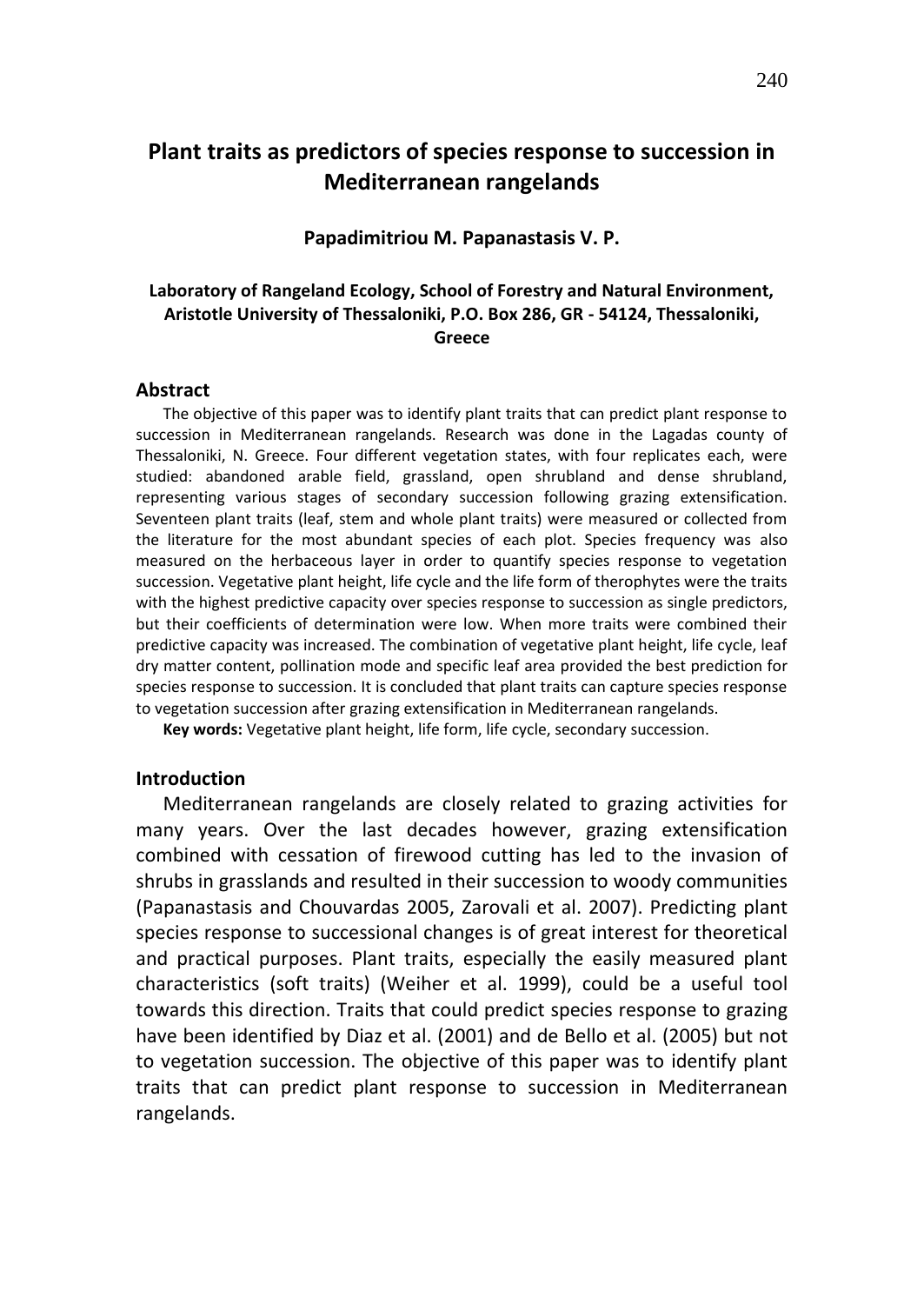# **Plant traits as predictors of species response to succession in Mediterranean rangelands**

## **Papadimitriou M. Papanastasis V. P.**

# **Laboratory of Rangeland Ecology, School of Forestry and Natural Environment, Aristotle University of Thessaloniki, P.O. Box 286, GR - 54124, Thessaloniki, Greece**

#### **Abstract**

The objective of this paper was to identify plant traits that can predict plant response to succession in Mediterranean rangelands. Research was done in the Lagadas county of Thessaloniki, N. Greece. Four different vegetation states, with four replicates each, were studied: abandoned arable field, grassland, open shrubland and dense shrubland, representing various stages of secondary succession following grazing extensification. Seventeen plant traits (leaf, stem and whole plant traits) were measured or collected from the literature for the most abundant species of each plot. Species frequency was also measured on the herbaceous layer in order to quantify species response to vegetation succession. Vegetative plant height, life cycle and the life form of therophytes were the traits with the highest predictive capacity over species response to succession as single predictors, but their coefficients of determination were low. When more traits were combined their predictive capacity was increased. The combination of vegetative plant height, life cycle, leaf dry matter content, pollination mode and specific leaf area provided the best prediction for species response to succession. It is concluded that plant traits can capture species response to vegetation succession after grazing extensification in Mediterranean rangelands.

**Key words:** Vegetative plant height, life form, life cycle, secondary succession.

#### **Introduction**

Mediterranean rangelands are closely related to grazing activities for many years. Over the last decades however, grazing extensification combined with cessation of firewood cutting has led to the invasion of shrubs in grasslands and resulted in their succession to woody communities (Papanastasis and Chouvardas 2005, Zarovali et al. 2007). Predicting plant species response to successional changes is of great interest for theoretical and practical purposes. Plant traits, especially the easily measured plant characteristics (soft traits) (Weiher et al. 1999), could be a useful tool towards this direction. Traits that could predict species response to grazing have been identified by Diaz et al. (2001) and de Bello et al. (2005) but not to vegetation succession. The objective of this paper was to identify plant traits that can predict plant response to succession in Mediterranean rangelands.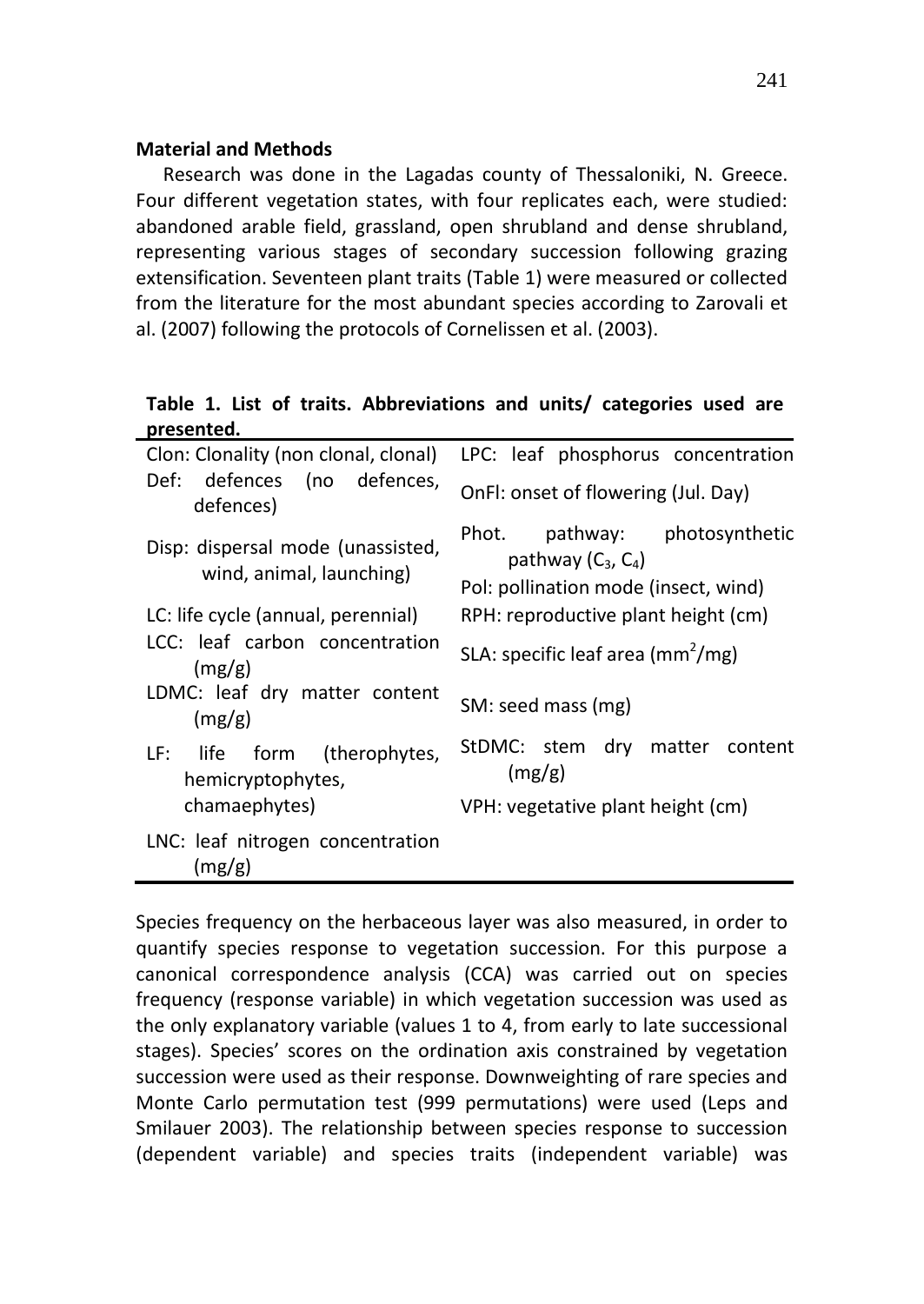### **Material and Methods**

Research was done in the Lagadas county of Thessaloniki, N. Greece. Four different vegetation states, with four replicates each, were studied: abandoned arable field, grassland, open shrubland and dense shrubland, representing various stages of secondary succession following grazing extensification. Seventeen plant traits (Table 1) were measured or collected from the literature for the most abundant species according to Zarovali et al. (2007) following the protocols of Cornelissen et al. (2003).

**Table 1. List of traits. Abbreviations and units/ categories used are presented.**

| Clon: Clonality (non clonal, clonal)                          | LPC: leaf phosphorus concentration                                                               |  |  |  |  |
|---------------------------------------------------------------|--------------------------------------------------------------------------------------------------|--|--|--|--|
| Def: defences (no defences,<br>defences)                      | OnFI: onset of flowering (Jul. Day)                                                              |  |  |  |  |
| Disp: dispersal mode (unassisted,<br>wind, animal, launching) | Phot.<br>pathway: photosynthetic<br>pathway $(C_3, C_4)$<br>Pol: pollination mode (insect, wind) |  |  |  |  |
| LC: life cycle (annual, perennial)                            | RPH: reproductive plant height (cm)                                                              |  |  |  |  |
| LCC: leaf carbon concentration<br>(mg/g)                      | SLA: specific leaf area ( $mm2/mg$ )                                                             |  |  |  |  |
| LDMC: leaf dry matter content<br>(mg/g)                       | SM: seed mass (mg)                                                                               |  |  |  |  |
| LF: life form (therophytes,<br>hemicryptophytes,              | StDMC: stem dry matter content<br>(mg/g)                                                         |  |  |  |  |
| chamaephytes)                                                 | VPH: vegetative plant height (cm)                                                                |  |  |  |  |
| LNC: leaf nitrogen concentration<br>(mg/g)                    |                                                                                                  |  |  |  |  |

Species frequency on the herbaceous layer was also measured, in order to quantify species response to vegetation succession. For this purpose a canonical correspondence analysis (CCA) was carried out on species frequency (response variable) in which vegetation succession was used as the only explanatory variable (values 1 to 4, from early to late successional stages). Species' scores on the ordination axis constrained by vegetation succession were used as their response. Downweighting of rare species and Monte Carlo permutation test (999 permutations) were used (Leps and Smilauer 2003). The relationship between species response to succession (dependent variable) and species traits (independent variable) was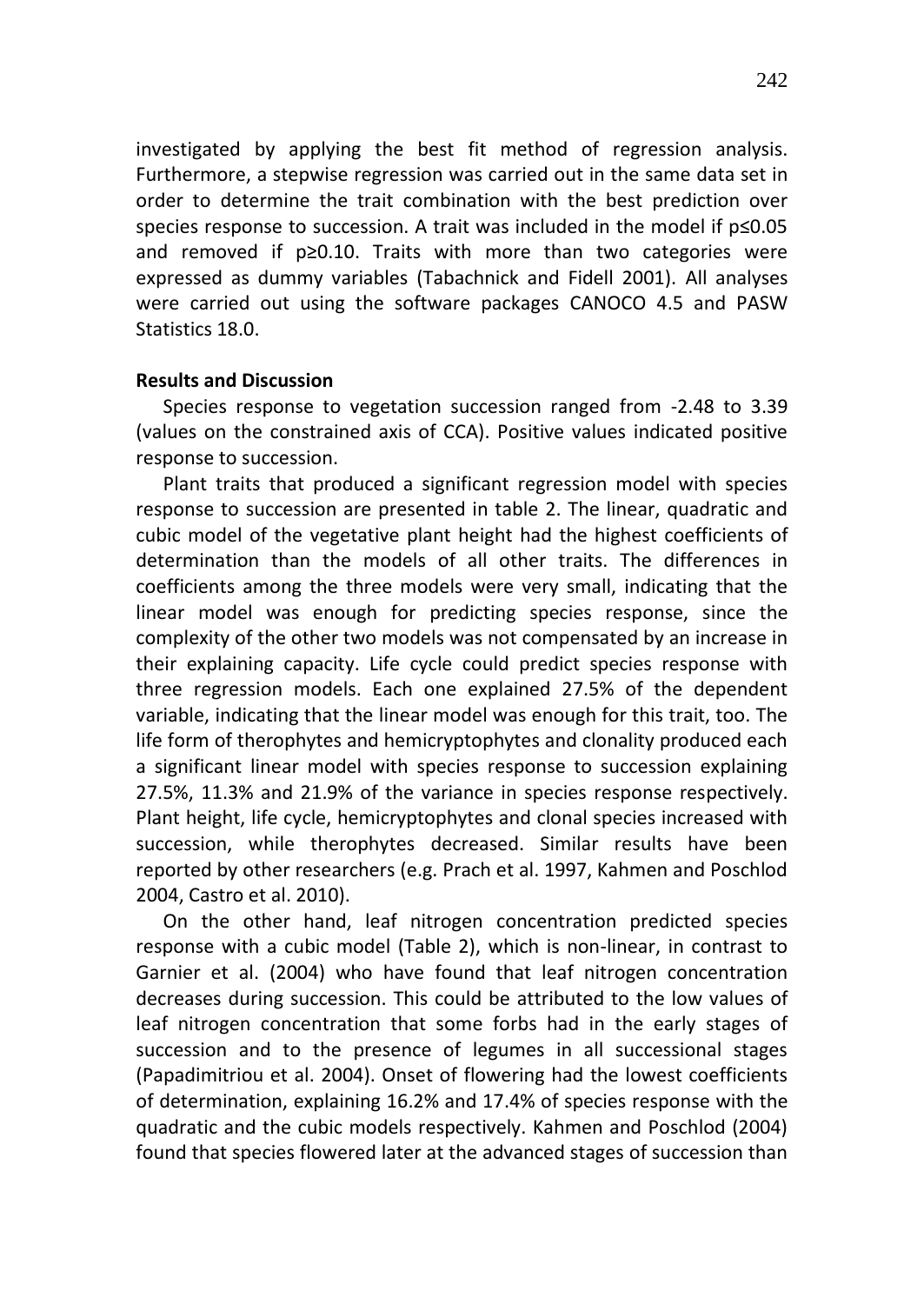investigated by applying the best fit method of regression analysis. Furthermore, a stepwise regression was carried out in the same data set in order to determine the trait combination with the best prediction over species response to succession. A trait was included in the model if p≤0.05 and removed if p≥0.10. Traits with more than two categories were expressed as dummy variables (Tabachnick and Fidell 2001). All analyses were carried out using the software packages CANOCO 4.5 and PASW Statistics 18.0.

## **Results and Discussion**

Species response to vegetation succession ranged from -2.48 to 3.39 (values on the constrained axis of CCA). Positive values indicated positive response to succession.

Plant traits that produced a significant regression model with species response to succession are presented in table 2. The linear, quadratic and cubic model of the vegetative plant height had the highest coefficients of determination than the models of all other traits. The differences in coefficients among the three models were very small, indicating that the linear model was enough for predicting species response, since the complexity of the other two models was not compensated by an increase in their explaining capacity. Life cycle could predict species response with three regression models. Each one explained 27.5% of the dependent variable, indicating that the linear model was enough for this trait, too. The life form of therophytes and hemicryptophytes and clonality produced each a significant linear model with species response to succession explaining 27.5%, 11.3% and 21.9% of the variance in species response respectively. Plant height, life cycle, hemicryptophytes and clonal species increased with succession, while therophytes decreased. Similar results have been reported by other researchers (e.g. Prach et al. 1997, Kahmen and Poschlod 2004, Castro et al. 2010).

On the other hand, leaf nitrogen concentration predicted species response with a cubic model (Table 2), which is non-linear, in contrast to Garnier et al. (2004) who have found that leaf nitrogen concentration decreases during succession. This could be attributed to the low values of leaf nitrogen concentration that some forbs had in the early stages of succession and to the presence of legumes in all successional stages (Papadimitriou et al. 2004). Onset of flowering had the lowest coefficients of determination, explaining 16.2% and 17.4% of species response with the quadratic and the cubic models respectively. Kahmen and Poschlod (2004) found that species flowered later at the advanced stages of succession than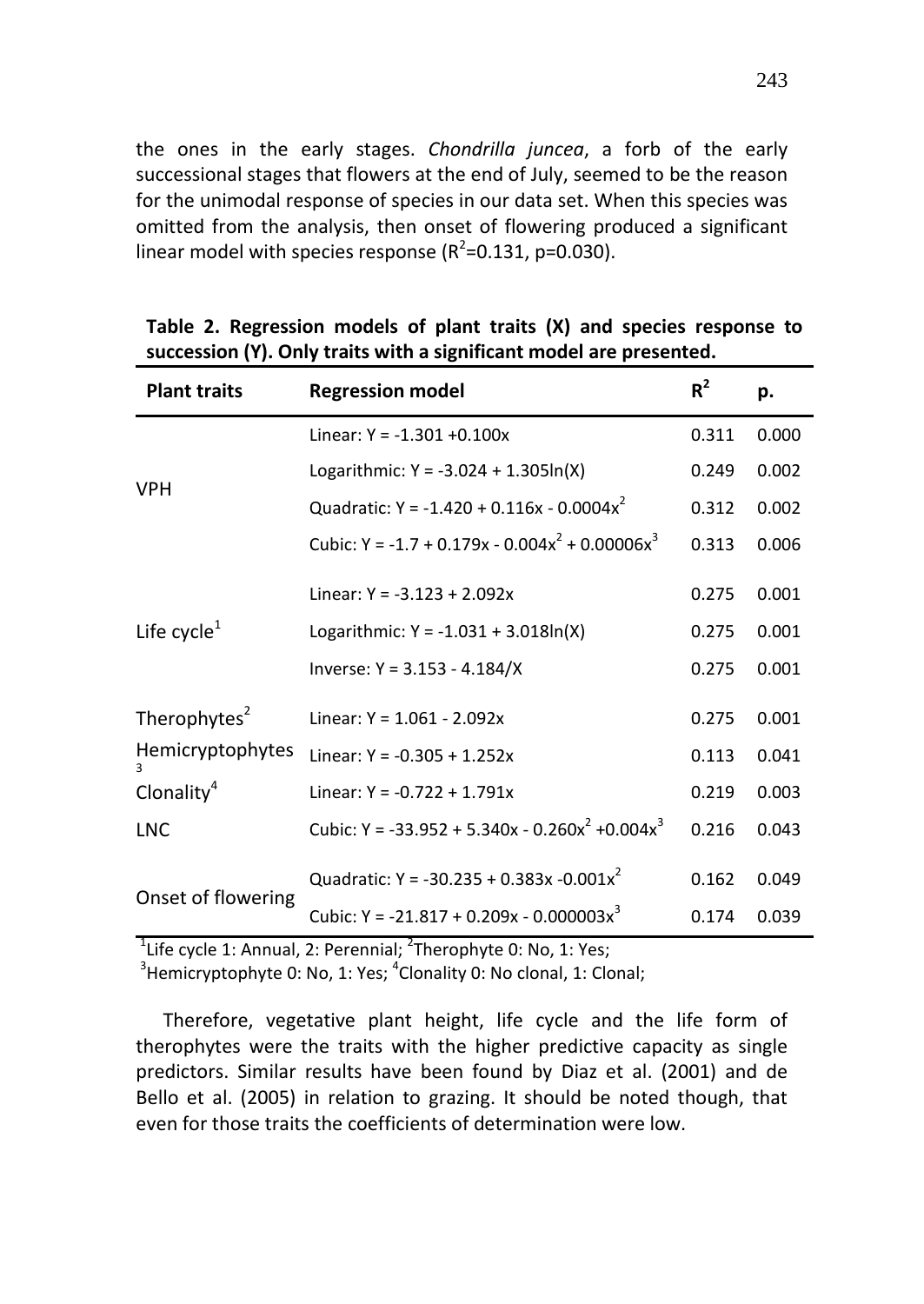the ones in the early stages. *Chondrilla juncea*, a forb of the early successional stages that flowers at the end of July, seemed to be the reason for the unimodal response of species in our data set. When this species was omitted from the analysis, then onset of flowering produced a significant linear model with species response ( $R^2$ =0.131, p=0.030).

| <b>Plant traits</b>      | <b>Regression model</b>                                                | $R^2$ | p.    |
|--------------------------|------------------------------------------------------------------------|-------|-------|
|                          | Linear: $Y = -1.301 + 0.100x$                                          | 0.311 | 0.000 |
| <b>VPH</b>               | Logarithmic: $Y = -3.024 + 1.305\ln(X)$                                |       | 0.002 |
|                          | Quadratic: Y = -1.420 + 0.116x - 0.0004x <sup>2</sup>                  | 0.312 | 0.002 |
|                          | Cubic: Y = -1.7 + 0.179x - 0.004x <sup>2</sup> + 0.00006x <sup>3</sup> | 0.313 | 0.006 |
|                          | Linear: $Y = -3.123 + 2.092x$                                          | 0.275 | 0.001 |
| Life cycle $1$           | Logarithmic: $Y = -1.031 + 3.018\ln(X)$                                | 0.275 | 0.001 |
|                          | Inverse: $Y = 3.153 - 4.184/X$                                         | 0.275 | 0.001 |
| Therophytes <sup>2</sup> | Linear: $Y = 1.061 - 2.092x$                                           | 0.275 | 0.001 |
| Hemicryptophytes         | Linear: $Y = -0.305 + 1.252x$                                          | 0.113 | 0.041 |
| Clonality <sup>4</sup>   | Linear: $Y = -0.722 + 1.791x$                                          | 0.219 | 0.003 |
| <b>LNC</b>               | Cubic: Y = -33.952 + 5.340x - 0.260x <sup>2</sup> +0.004x <sup>3</sup> | 0.216 | 0.043 |
|                          | Quadratic: Y = -30.235 + 0.383x -0.001x <sup>2</sup>                   | 0.162 | 0.049 |
| Onset of flowering       | Cubic: Y = -21.817 + 0.209x - 0.000003x <sup>3</sup>                   | 0.174 | 0.039 |

| Table 2. Regression models of plant traits $(X)$ and species response to |  |  |  |  |  |
|--------------------------------------------------------------------------|--|--|--|--|--|
| succession (Y). Only traits with a significant model are presented.      |  |  |  |  |  |

 $^{1}$ Life cycle 1: Annual, 2: Perennial;  $^{2}$ Therophyte 0: No, 1: Yes;

 $3$ Hemicryptophyte 0: No, 1: Yes;  $4$ Clonality 0: No clonal, 1: Clonal;

Therefore, vegetative plant height, life cycle and the life form of therophytes were the traits with the higher predictive capacity as single predictors. Similar results have been found by Diaz et al. (2001) and de Bello et al. (2005) in relation to grazing. It should be noted though, that even for those traits the coefficients of determination were low.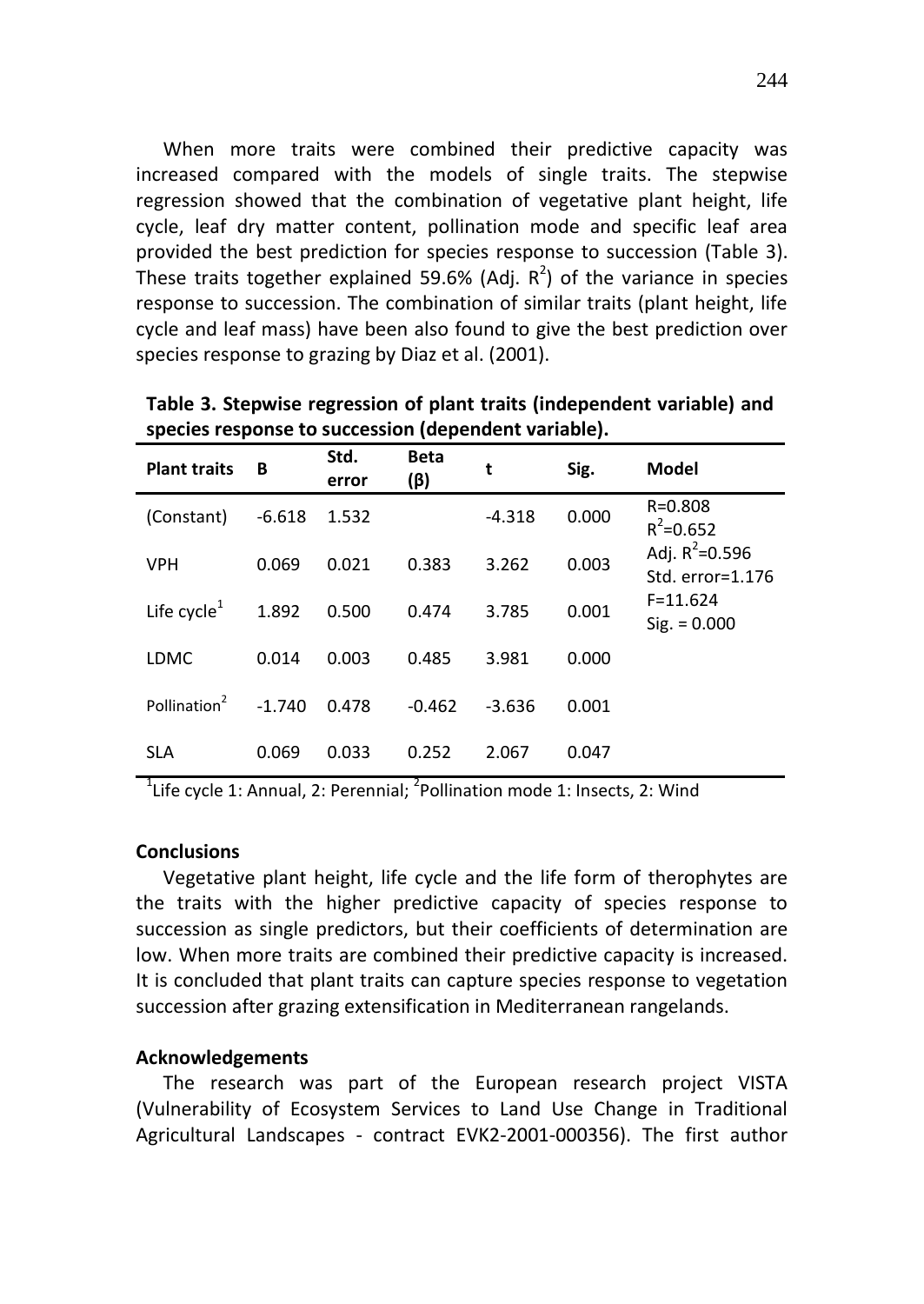When more traits were combined their predictive capacity was increased compared with the models of single traits. The stepwise regression showed that the combination of vegetative plant height, life cycle, leaf dry matter content, pollination mode and specific leaf area provided the best prediction for species response to succession (Table 3). These traits together explained 59.6% (Adj.  $R^2$ ) of the variance in species response to succession. The combination of similar traits (plant height, life cycle and leaf mass) have been also found to give the best prediction over species response to grazing by Diaz et al. (2001).

| <b>Plant traits</b>      | В        | Std.<br>error | <b>Beta</b><br>(β) | t        | Sig.  | <b>Model</b>                           |
|--------------------------|----------|---------------|--------------------|----------|-------|----------------------------------------|
| (Constant)               | $-6.618$ | 1.532         |                    | $-4.318$ | 0.000 | $R = 0.808$<br>$R^2 = 0.652$           |
| <b>VPH</b>               | 0.069    | 0.021         | 0.383              | 3.262    | 0.003 | Adj. $R^2 = 0.596$<br>Std. error=1.176 |
| Life cycle $1$           | 1.892    | 0.500         | 0.474              | 3.785    | 0.001 | $F = 11.624$<br>$Sig. = 0.000$         |
| <b>LDMC</b>              | 0.014    | 0.003         | 0.485              | 3.981    | 0.000 |                                        |
| Pollination <sup>2</sup> | $-1.740$ | 0.478         | $-0.462$           | $-3.636$ | 0.001 |                                        |
| <b>SLA</b>               | 0.069    | 0.033         | 0.252              | 2.067    | 0.047 |                                        |

**Table 3. Stepwise regression of plant traits (independent variable) and species response to succession (dependent variable).**

 $1$ Life cycle 1: Annual, 2: Perennial;  $2$ Pollination mode 1: Insects, 2: Wind

## **Conclusions**

Vegetative plant height, life cycle and the life form of therophytes are the traits with the higher predictive capacity of species response to succession as single predictors, but their coefficients of determination are low. When more traits are combined their predictive capacity is increased. It is concluded that plant traits can capture species response to vegetation succession after grazing extensification in Mediterranean rangelands.

# **Acknowledgements**

The research was part of the European research project VISTA (Vulnerability of Ecosystem Services to Land Use Change in Traditional Agricultural Landscapes - contract EVK2-2001-000356). The first author